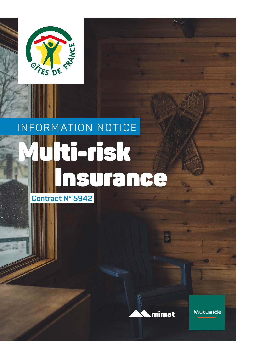

# INFORMATION NOTICE

# ti-risk Insurance

**Contract N° 5942**



Mutuaide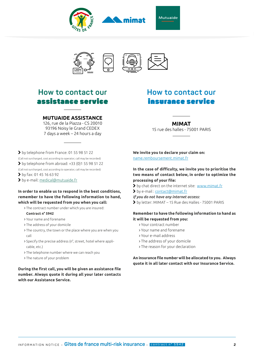





### **How to contact our** assistance service

#### **MUTUAIDE ASSISTANCE**

126, rue de la Piazza - CS 20010 93196 Noisy le Grand CEDEX 7 days a week – 24 hours a day

- by telephone from France: 01 55 98 51 22
- (Call not surcharged, cost according to operator, call may be recorded)
- $\triangleright$  by telephone from abroad: +33 (0)1 55 98 51 22
- (Call not surcharged, cost according to operator, call may be recorded)
- by fax: 01 45 16 63 92
- by e-mail: medical@mutuaide.f[r](mailto:medical%40mutuaide.fr%20?subject=)

#### **In order to enable us to respond in the best conditions, remember to have the following information to hand, which will be requested from you when you call:**

- The contract number under which you are insured: **Contract n° 5942**
- Your name and forename
- The address of your domicile
- The country, the town or the place where you are when you call
- Specify the precise address (n°, street, hotel where applicable, etc.)
- The telephone number where we can reach you
- The nature of your problem

#### **During the first call, you will be given an assistance file number. Always quote it during all your later contacts with our Assistance Service.**

### **How to contact our** insurance service

#### **MIMAT**

15 rue des halles - 75001 PARIS

**We invite you to declare your claim on:** name.remboursement.mimat.fr

**In the case of difficulty, we invite you to prioritise the two means of contact below, in order to optimize the processing of your file:**

- by chat direct on the internet site: [www.mimat.fr](http://www.mimat.fr )
- by e-mail : [contact@mimat.fr](mailto:contact%40mimat.fr?subject=)

*If you do not have any internet access:*

by letter: MIMAT – 15 Rue des Halles - 75001 PARIS

#### **Remember to have the following information to hand as it will be requested from you:**

- Your contract number
- Your name and forename
- Your e-mail address
- The address of your domicile
- The reason for your declaration

**An insurance file number will be allocated to you. Always quote it in all later contact with our Insurance Service.**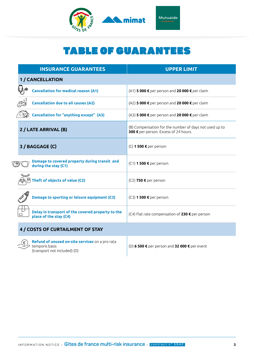

# TABLE OF GUARANTEES

|  | <b>INSURANCE GUARANTEES</b>                                                                       | <b>UPPER LIMIT</b>                                                                              |
|--|---------------------------------------------------------------------------------------------------|-------------------------------------------------------------------------------------------------|
|  | <b>1/CANCELLATION</b>                                                                             |                                                                                                 |
|  | ∕⊚<br><b>Cancellation for medical reason (A1)</b>                                                 | (A1) 5 000 € per person and 20 000 € per claim                                                  |
|  | <b>Cancellation due to all causes (A2)</b>                                                        | (A2) 5 000 € per person and 20 000 € per claim                                                  |
|  | $\widehat{\mathcal{C}}(\mathbb{C})$ Cancellation for "anything except" (A3)                       | (A3) 5 000 € per person and 20 000 € per claim                                                  |
|  | 2 / LATE ARRIVAL (B)                                                                              | (B) Compensation for the number of days not used up to<br>300 € per person. Excess of 24 hours. |
|  | 3 / BAGGAGE (C)                                                                                   | $(C)$ 1 500 € per person                                                                        |
|  | Damage to covered property during transit and<br>during the stay (C1)                             | $(C1)$ 1 500 € per person                                                                       |
|  | ക്കാ<br>Theft of objects of value (C2)                                                            | (C2) 750 € per person                                                                           |
|  | Damage to sporting or leisure equipment (C3)                                                      | $(C3)$ 1 500 € per person                                                                       |
|  | Delay in transport of the covered property to the<br>▭<br>place of the stay (C4)                  | (C4) Flat rate compensation of 230 € per person                                                 |
|  | 4 / COSTS OF CURTAILMENT OF STAY                                                                  |                                                                                                 |
|  | Refund of unused on-site services on a pro rata<br>temporis basis<br>(transport not included) (D) | (D) 6 500 € per person and 32 000 € per event                                                   |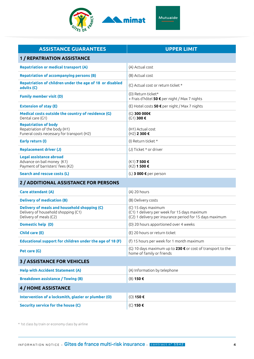

| Mutuaide |  |
|----------|--|
|          |  |

| <b>ASSISTANCE GUARANTEES</b>                                                                                  | <b>UPPER LIMIT</b>                                                                                                              |  |  |  |
|---------------------------------------------------------------------------------------------------------------|---------------------------------------------------------------------------------------------------------------------------------|--|--|--|
| <b>1 / REPATRIATION ASSISTANCE</b>                                                                            |                                                                                                                                 |  |  |  |
| <b>Repatriation or medical transport (A)</b>                                                                  | (A) Actual cost                                                                                                                 |  |  |  |
| <b>Repatriation of accompanying persons (B)</b>                                                               | (B) Actual cost                                                                                                                 |  |  |  |
| Repatriation of children under the age of 18 or disabled<br>adults (C)                                        | (C) Actual cost or return ticket *                                                                                              |  |  |  |
| <b>Family member visit (D)</b>                                                                                | (D) Return ticket*<br>+ Frais d'hôtel 50 € per night / Max 7 nights                                                             |  |  |  |
| <b>Extension of stay (E)</b>                                                                                  | (E) Hotel costs 50 € per night / Max 7 nights                                                                                   |  |  |  |
| Medical costs outside the country of residence (G)<br>Dental care (G1)                                        | (G) 300 000€<br>(G1) 300€                                                                                                       |  |  |  |
| <b>Repatriation of body</b><br>Repatriation of the body (H1)<br>Funeral costs necessary for transport (H2)    | (H1) Actual cost<br>(H2) 2 300 €                                                                                                |  |  |  |
| Early return (I)                                                                                              | (I) Return ticket *                                                                                                             |  |  |  |
| <b>Replacement driver (J)</b>                                                                                 | (J) Ticket * or driver                                                                                                          |  |  |  |
| Legal assistance abroad<br>Advance on bail money (K1)<br>Payment of barristers' fees (K2)                     | (K1) 7 500 €<br>(K2) 1 500 €                                                                                                    |  |  |  |
| Search and rescue costs (L)                                                                                   | (L) 3 000 € per person                                                                                                          |  |  |  |
| 2 / ADDITIONAL ASSISTANCE FOR PERSONS                                                                         |                                                                                                                                 |  |  |  |
| Care attendant (A)                                                                                            | (A) 20 hours                                                                                                                    |  |  |  |
| <b>Delivery of medication (B)</b>                                                                             | (B) Delivery costs                                                                                                              |  |  |  |
| Delivery of meals and household shopping (C)<br>Delivery of household shopping (C1)<br>Delivery of meals (C2) | (C) 15 days maximum<br>(C1) 1 delivery per week for 15 days maximum<br>(C2) 1 delivery per insurance period for 15 days maximum |  |  |  |
| Domestic help (D)                                                                                             | (D) 20 hours apportioned over 4 weeks                                                                                           |  |  |  |
| <b>Child care (E)</b>                                                                                         | (E) 20 hours or return ticket                                                                                                   |  |  |  |
| Educational support for children under the age of 18 (F)                                                      | (f) 15 hours per week for 1 month maximum                                                                                       |  |  |  |
| Pet care (G)                                                                                                  | (G) 10 days maximum up to $230 \text{ } \infty$ or cost of transport to the<br>home of family or friends                        |  |  |  |
| <b>3 / ASSISTANCE FOR VEHICLES</b>                                                                            |                                                                                                                                 |  |  |  |
| <b>Help with Accident Statement (A)</b>                                                                       | (A) Information by telephone                                                                                                    |  |  |  |
| <b>Breakdown assistance / Towing (B)</b>                                                                      | (B) 150 €                                                                                                                       |  |  |  |
| <b>4 / HOME ASSISTANCE</b>                                                                                    |                                                                                                                                 |  |  |  |
| Intervention of a locksmith, glazier or plumber (O)                                                           | (O) 150€                                                                                                                        |  |  |  |
| <b>Security service for the house (C)</b>                                                                     | (C) 150 €                                                                                                                       |  |  |  |

\* 1st class by train or economy class by airline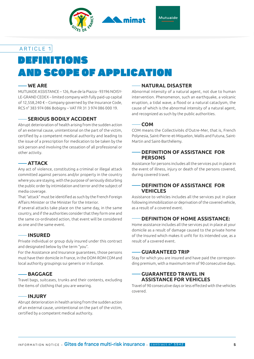

# DEFINITIONS AND SCOPE OF APPLICATION

#### **WE ARE**

MUTUAIDE ASSISTANCE – 126, Rue de la Piazza - 93196 NOISY-LE-GRAND CEDEX – limited company with fully paid-up capital of 12,558,240 € – Company governed by the Insurance Code, RCS n° 383 974 086 Bobigny – VAT FR 31 3 974 086 000 19.

#### **SERIOUS BODILY ACCIDENT**

Abrupt deterioration of health arising from the sudden action of an external cause, unintentional on the part of the victim, certified by a competent medical authority and leading to the issue of a prescription for medication to be taken by the sick person and involving the cessation of all professional or other activity.

#### **ATTACK**

Any act of violence, constituting a criminal or illegal attack committed against persons and/or property in the country where you are staying, with the purpose of seriously disturbing the public order by intimidation and terror and the subject of media coverage.

That "attack" must be identified as such by the French Foreign Affairs Minister or the Minister for the Interior.

If several attacks take place on the same day, in the same country, and if the authorities consider that they form one and the same co-ordinated action, that event will be considered as one and the same event.

#### **INSURED**

Private individual or group duly insured under this contract and designated below by the term "you".

For the Assistance and Insurance guarantees, those persons must have their domicile in France, in the DOM-ROM COM and local authority groupings sui generis or in Europe.

#### **BAGGAGE**

Travel bags, suitcases, trunks and their contents, excluding the items of clothing that you are wearing.

#### **INJURY**

Abrupt deterioration in health arising from the sudden action of an external cause, unintentional on the part of the victim, certified by a competent medical authority.

#### **NATURAL DISASTER**

Abnormal intensity of a natural agent, not due to human intervention. Phenomenon, such an earthquake, a volcanic eruption, a tidal wave, a flood or a natural cataclysm, the cause of which is the abnormal intensity of a natural agent, and recognized as such by the public authorities.

#### **COM**

COM means the Collectivités d'Outre-Mer, that is, French Polynesia, Saint-Pierre-et-Miquelon, Wallis and Futuna, Saint-Martin and Saint-Barthélemy.

#### **DEFINITION OF ASSISTANCE FOR PERSONS**

Assistance for persons includes all the services put in place in the event of illness, injury or death of the persons covered, during covered travel.

#### **DEFINITION OF ASSISTANCE FOR VEHICLES**

Assistance to vehicles includes all the services put in place following immobilization or deprivation of the covered vehicle, as a result of a covered event.

#### **DEFINITION OF HOME ASSISTANCE:**

Home assistance includes all the services put in place at your domicile as a result of damage caused to the private home of the Insured which makes it unfit for its intended use, as a result of a covered event.

#### **GUARANTEED TRIP**

Stay for which you are insured and have paid the corresponding premium, with a maximum term of 90 consecutive days.

#### **GUARANTEED TRAVEL IN ASSISTANCE FOR VEHICLES**

Travel of 90 consecutive days or less effected with the vehicles covered.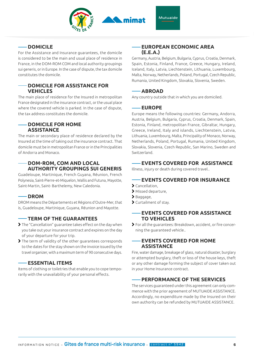

#### **DOMICILE**

For the Assistance and Insurance guarantees, the domicile is considered to be the main and usual place of residence in France, in the DOM-ROM COM and local authority groupings sui generis, or in Europe. In the case of dispute, the tax domicile constitutes the domicile.

#### **DOMICILE FOR ASSISTANCE FOR VEHICLES**

The main place of residence for the Insured in metropolitan France designated in the insurance contract, or the usual place where the covered vehicle is parked. In the case of dispute, the tax address constitutes the domicile.

#### **DOMICILE FOR HOME ASSISTANCE**

The main or secondary place of residence declared by the Insured at the time of taking out the insurance contract. That domicile must be in metropolitan France or in the Principalities of Andorra and Monaco.

#### **DOM-ROM, COM AND LOCAL AUTHORITY GROUPINGS SUI GENERIS**

Guadeloupe, Martinique, French Guyana, Réunion, French Polynesia, Saint-Pierre-et-Miquelon, Wallis and Futuna, Mayotte, Saint-Martin, Saint- Barthelemy, New Caledonia.

#### **DROM**

DROM means the Départements et Régions d'Outre-Mer, that is, Guadeloupe, Martinique, Guyana, Réunion and Mayotte.

#### **TERM OF THE GUARANTEES**

- The "Cancellation" guarantee takes effect on the day when you take out your insurance contract and expires on the day of your departure for your trip.
- The term of validity of the other guarantees corresponds to the dates for the stay shown on the invoice issued by the travel organizer, with a maximum term of 90 consecutive days.

#### **ESSENTIAL ITEMS**

Items of clothing or toiletries that enable you to cope temporarily with the unavailability of your personal effects.

#### **EUROPEAN ECONOMIC AREA (E.E.A.)**

Germany, Austria, Belgium, Bulgaria, Cyprus, Croatia, Denmark, Spain, Estonia, Finland, France, Greece, Hungary, Ireland, Iceland, Italy, Latvia, Liechtenstein, Lithuania, Luxembourg, Malta, Norway, Netherlands, Poland, Portugal, Czech Republic, Rumania, United Kingdom, Slovakia, Slovenia, Sweden.

#### **ABROAD**

Any country outside that in which you are domiciled.

#### **EUROPE**

Europe means the following countries: Germany, Andorra, Austria, Belgium, Bulgaria, Cyprus, Croatia, Denmark, Spain, Estonia, Finland, metropolitan France, Gibraltar, Hungary, Greece, Ireland, Italy and islands, Liechtenstein, Latvia, Lithuania, Luxembourg, Malta, Principality of Monaco, Norway, Netherlands, Poland, Portugal, Rumania, United Kingdom, Slovakia, Slovenia, Czech Republic, San Marino, Sweden and Switzerland.

#### **EVENTS COVERED FOR ASSISTANCE**

Illness, injury or death during covered travel..

#### **EVENTS COVERED FOR INSURANCE**

- Cancellation,
- Missed departure,
- Baggage,
- Curtailment of stay.

#### **EVENTS COVERED FOR ASSISTANCE TO VEHICLES**

 For all the guarantees: Breakdown, accident, or fire concerning the guaranteed vehicle..

#### **EVENTS COVERED FOR HOME ASSISTANCE**

Fire, water damage, breakage of glass, natural disaster, burglary or attempted burglary, theft or loss of the house keys, theft or any other damage forming the subject of cover taken out in your Home Insurance contract.

#### **PERFORMANCE OF THE SERVICES**

The services guaranteed under this agreement can only commence with the prior agreement of MUTUAIDE ASSISTANCE. Accordingly, no expenditure made by the Insured on their own authority can be refunded by MUTUAIDE ASSISTANCE.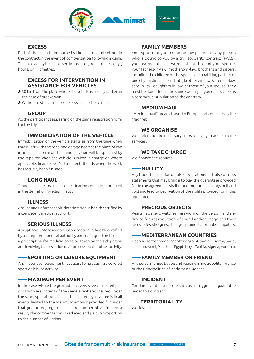

#### **EXCESS**

Part of the claim to be borne by the Insured and set out in the contract in the event of compensation following a claim. The excess may be expressed in amounts, percentages, days, hours, or kilometres.

#### **EXCESS FOR INTERVENTION IN ASSISTANCE FOR VEHICLES**

- 50 km from the place where the vehicle is usually parked in the case of breakdown.
- Without distance-related excess in all other cases.

#### **GROUP**

All the participants appearing on the same registration form for the trip.

#### **IMMOBILISATION OF THE VEHICLE**

Immobilisation of the vehicle starts as from the time when that is left with the repairing garage nearest the place of the incident. The term of the immobilisation will be specified by the repairer when the vehicle is taken in charge or, where applicable, in an expert's statement. It ends when the work has actually been finished.

#### **LONG HAUL**

"Long haul" means travel to destination countries not listed in the definition "Medium haul".

#### **ILLNESS**

Abrupt and unforeseeable deterioration in health certified by a competent medical authority..

#### **SERIOUS ILLNESS**

Abrupt and unforeseeable deterioration in health certified by a competent medical authority and leading to the issue of a prescription for medication to be taken by the sick person and involving the cessation of all professional or other activity.

#### **SPORTING OR LEISURE EQUIPMENT**

Any material or equipment necessary for practising a covered sport or leisure activity.

#### **MAXIMUM PER EVENT**

In the case where the guarantee covers several insured persons who are victims of the same event and insured under the same special conditions, the insurer's guarantee is in all events limited to the maximum amount provided for under that guarantee, regardless of the number of victims. As a result, the compensation is reduced and paid in proportion to the number of victims.

#### **FAMILY MEMBERS**

Your spouse or your common-law partner or any person who is bound to you by a civil solidarity contract (PACS), your ascendants or descendants or those of your spouse, your fathers-in-law, mothers-in-law, brothers and sisters, including the children of the spouse or cohabiting partner of one of your direct ascendants, brothers-in-law, sisters-in-law, sons-in-law, daughters-in-law, or those of your spouse. They must be domiciled in the same country as you unless there is a contractual stipulation to the contrary.

#### **MEDIUM HAUL**

"Medium haul" means travel to Europe and countries in the Maghreb.

#### **WE ORGANISE**

We undertake the necessary steps to give you access to the services.

#### **WE TAKE CHARGE**

We finance the services.

#### **NULLITY**

Any fraud, falsification or false declarations and false witness statements that may bring into play the guarantees provided for in the agreement shall render our undertakings null and void and lead to deprivation of the rights provided for in this agreement.

#### **PRECIOUS OBJECTS**

Pearls, jewellery, watches, furs worn on the person, and any device for reproduction of sound and/or image and their accessories, shotguns, fishing equipment, portable computers.

#### **MEDITERRANEAN COUNTRIES**

Bosnia-Herzegovina, Montenegro, Albania, Turkey, Syria, Lebanon, Israel, Palestine, Egypt, Libya, Tunisia, Algeria, Morocco.

#### **FAMILY MEMBER OR FRIEND**

Any person named by you and residing in metropolitan France or the Principalities of Andorra or Monaco.

#### **INCIDENT**

Random event of a nature such as to trigger the guarantee under this contract.

#### **TERRITORIALITY**

Worldwide.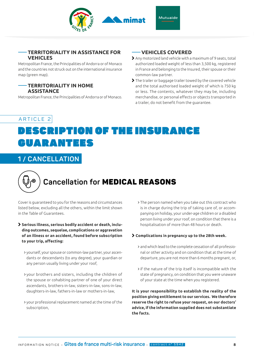

#### **TERRITORIALITY IN ASSISTANCE FOR VEHICLES**

Metropolitan France, the Principalities of Andorra or of Monaco and the countries not struck out on the international insurance map (green map).

#### **TERRITORIALITY IN HOME ASSISTANCE**

Metropolitan France, the Principalities of Andorra or of Monaco.

#### **VEHICLES COVERED**

- Any motorized land vehicle with a maximum of 9 seats, total authorized loaded weight of less than 3,500 kg, registered in France and belonging to the Insured, their spouse or their common-law partner.
- The trailer or baggage trailer towed by the covered vehicle and the total authorised loaded weight of which is 750 kg or less. The contents, whatever they may be, including merchandise, or personal effects or objects transported in a trailer, do not benefit from the guarantee.

## ARTICLE 2 DESCRIPTION OF THE INSURANCE GUARANTEES

### **1 / CANCELLATION**



# **Cancellation for** MEDICAL REASONS

Cover is guaranteed to you for the reasons and circumstances listed below, excluding all the others, within the limit shown in the Table of Guarantees.

#### **Serious illness, serious bodily accident or death, including outcomes, sequelae, complications or aggravation of an illness or an accident, found before subscription to your trip, affecting:**

- yourself, your spouse or common-law partner, your ascendants or descendants (to any degree), your guardian or any person usually living under your roof,
- your brothers and sisters, including the children of the spouse or cohabiting partner of one of your direct ascendants, brothers-in-law, sisters-in-law, sons-in-law, daughters-in-law, fathers-in-law or mothers-in-law,
- your professional replacement named at the time of the subscription,

 The person named when you take out this contract who is in charge during the trip of taking care of, or accompanying on holiday, your under-age children or a disabled person living under your roof, on condition that there is a hospitalisation of more than 48 hours or death.

#### **Complications in pregnancy up to the 28th week.**

- and which lead to the complete cessation of all professional or other activity and on condition that at the time of departure, you are not more than 6 months pregnant, or,
- if the nature of the trip itself is incompatible with the state of pregnancy, on condition that you were unaware of your state at the time when you registered.

**It is your responsibility to establish the reality of the position giving entitlement to our services. We therefore reserve the right to refuse your request, on our doctors' advice, if the information supplied does not substantiate the facts.**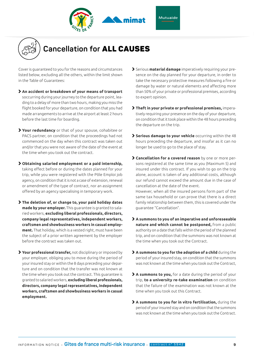



# **Cancellation for** ALL CAUSES

Cover is guaranteed to you for the reasons and circumstances listed below, excluding all the others, within the limit shown in the Table of Guarantees:

- **An accident or breakdown of your means of transport**  soccurring during your journey to the departure point, leading to a delay of more than two hours, making you miss the flight booked for your departure, on condition that you had made arrangements to arrive at the airport at least 2 hours before the last time for boarding.
- **Your redundancy** or that of your spouse, cohabitee or PACS partner, on condition that the proceedings had not commenced on the day when this contract was taken out and/or that you were not aware of the date of the event at the time when you took out the contract.
- **Obtaining salaried employment or a paid internship,** taking effect before or during the dates planned for your trip, while you were registered with the Pôle Emploi job agency, on condition that it is not a case of extension, renewal or amendment of the type of contract, nor an assignment offered by an agency specialising in temporary work.
- **The deletion of, or change to, your paid holiday dates made by your employer.** This guarantee is granted to salaried workers, **excluding liberal professionals, directors, company legal representatives, independent workers, craftsmen and showbusiness workers in casual employment.** That holiday, which is a vested right, must have been the subject of a prior written agreement by the employer before the contract was taken out.
- **Your professional transfer,** not disciplinary or imposed by your employer, obliging you to move during the period of your insured stay or within the 8 days preceding your departure and on condition that the transfer was not known at the time when you took out the contract. This guarantee is granted to salaried workers, **excluding liberal professionals, directors, company legal representatives, independent workers, craftsmen and showbusiness workers in casual employment.**
- Serious **material damage** imperatively requiring your presence on the day planned for your departure, in order to take the necessary protective measures following a fire or damage by water or natural elements and affecting more than 50% of your private or professional premises, according to expert opinion.
- **Theft in your private or professional premises,** imperatively requiring your presence on the day of your departure, on condition that it took place within the 48 hours preceding the departure on the trip.
- **Serious damage to your vehicle** occurring within the 48 hours preceding the departure, and insofar as it can no longer be used to go to the place of stay.
- **Cancellation for a covered reason** by one or more persons registered at the same time as you (Maximum 5) and insured under this contract. If you wish to go on the trip alone, account is taken of any additional costs, although our refund cannot exceed the amount due in the case of cancellation at the date of the event. However, when all the insured persons form part of the same tax household or can prove that there is a direct family relationship between them, this is covered under the guarantee "Cancellation".
- **A summons to you of an imperative and unforeseeable nature and which cannot be postponed,** from a public authority on a date that falls within the period of the planned trip, and on condition that the summons was not known at the time when you took out the Contract.
- **A summons to you for the adoption of a child** during the period of your insured stay, on condition that the summons was not known at the time when you took out the Contract,
- **A summons to you,** for a date during the period of your trip, **to a university re-take examination** on condition that the failure of the examination was not known at the time when you took out this Contract.
- **A summons to you for in vitro fertilisation,** during the period of your insured stay and on condition that the summons was not known at the time when you took out the Contract.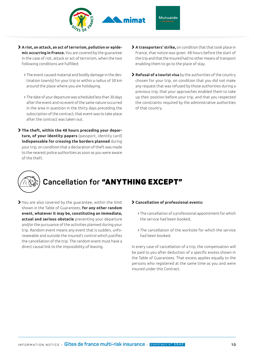

- **A riot, an attack, an act of terrorism, pollution or epidemic occurring in France.** You are covered by the guarantee in the case of riot, attack or act of terrorism, when the two following conditions are fulfilled:
	- The event caused material and bodily damage in the destination town(s) for your trip or within a radius of 50 km around the place where you are holidaying.
	- The date of your departure was scheduled less than 30 days after the event and no event of the same nature occurred in the area in question in the thirty days preceding the subscription of the contract; that event was to take place after the contract was taken out.
- **The theft, within the 48 hours preceding your departure, of your identity papers** (passport, identity card) **indispensable for crossing the borders planned** during your trip, on condition that a declaration of theft was made to the nearest police authorities as soon as you were aware of the theft.
- **A transporters' strike,** on condition that that took place in France, that notice was given 48 hours before the start of the trip and that the Insured had no other means of transport enabling them to go to the place of stay.
- **Refusal of a tourist visa** by the authorities of the country chosen for your trip, on condition that you did not make any request that was refused by those authorities during a previous trip, that your approaches enabled them to take up their position before your trip, and that you respected the constraints required by the administrative authorities of that country.

# **Cancellation for** "ANYTHING EXCEPT"

 You are also covered by the guarantee, within the limit shown in the Table of Guarantees, **for any other random event, whatever it may be, constituting an immediate, actual and serious obstacle** preventing your departure and/or the pursuance of the activities planned during your trip. Random event means any event that is sudden, unforeseeable and outside the insured's control which justifies the cancellation of the trip. The random event must have a direct causal link to the impossibility of leaving.

#### **Cancellation of professional events:**

- The cancellation of a professional appointment for which the service had been booked,
- The cancellation of the worksite for which the service had been booked.

In every case of cancellation of a trip, the compensation will be paid to you after deduction of a specific excess shown in the Table of Guarantees. That excess applies equally to the persons who registered at the same time as you and were insured under this Contract.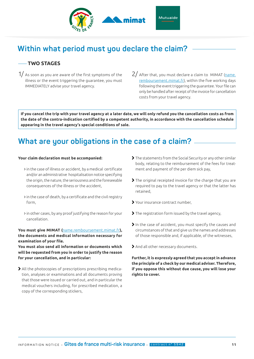

### **Within what period must you declare the claim?**

#### **TWO STAGES**

- $1/$  As soon as you are aware of the first symptoms of the illness or the event triggering the guarantee, you must IMMEDIATELY advise your travel agency.
- $2/$  After that, you must declare a claim to MIMAT (name. remboursement.mimat.fr), within the five working days following the event triggering the guarantee. Your file can only be handled after receipt of the invoice for cancellation costs from your travel agency.

**If you cancel the trip with your travel agency at a later date, we will only refund you the cancellation costs as from the date of the contra-indication certified by a competent authority, in accordance with the cancellation schedule appearing in the travel agency's special conditions of sale.**

### **What are your obligations in the case of a claim?**

#### **Your claim declaration must be accompanied:**

- in the case of illness or accident, by a medical certificate and/or an administrative hospitalisation notice specifying the origin, the nature, the seriousness and the foreseeable consequences of the illness or the accident,
- in the case of death, by a certificate and the civil registry form,
- in other cases, by any proof justifying the reason for your cancellation.

You must give MIMAT (name.remboursement.mimat.fr), **the documents and medical information necessary for examination of your file.**

**You must also send all information or documents which will be requested from you in order to justify the reason for your cancellation, and in particular:**

 All the photocopies of prescriptions prescribing medication, analyses or examinations and all documents proving that those were issued or carried out, and in particular the medical vouchers including, for prescribed medication, a copy of the corresponding stickers,

- The statements from the Social Security or any other similar body, relating to the reimbursement of the fees for treatment and payment of the per diem sick pay,
- The original receipted invoice for the charge that you are required to pay to the travel agency or that the latter has retained,
- Your insurance contract number,
- > The registration form issued by the travel agency.
- In the case of accident, you must specify the causes and circumstances of that and give us the names and addresses of those responsible and, if applicable, of the witnesses,
- And all other necessary documents.

**Further, it is expressly agreed that you accept in advance the principle of a check by our medical adviser. Therefore, if you oppose this without due cause, you will lose your rights to cover.**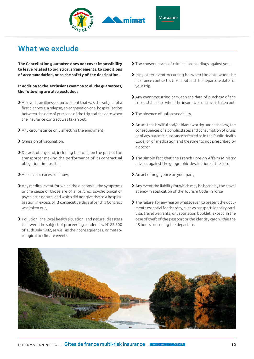

#### Mutuaide

### **What we exclude**

**The Cancellation guarantee does not cover impossibility to leave related to logistical arrangements, to conditions of accommodation, or to the safety of the destination.** 

**In addition to the exclusions common to all the guarantees, the following are also excluded:**

- An event, an illness or an accident that was the subject of a first diagnosis, a relapse, an aggravation or a hospitalisation between the date of purchase of the trip and the date when the insurance contract was taken out,
- Any circumstance only affecting the enjoyment,
- Omission of vaccination,
- Default of any kind, including financial, on the part of the transporter making the performance of its contractual obligations impossible,
- Absence or excess of snow,
- Any medical event for which the diagnosis,, the symptoms or the cause of those are of a psychic, psychological or psychiatric nature, and which did not give rise to a hospitalisation in excess of 3 consecutive days after this Contract was taken out,
- Pollution, the local health situation, and natural disasters that were the subject of proceedings under Law N° 82.600 of 13th July 1982, as well as their consequences, or meteorological or climate events.
- The consequences of criminal proceedings against you,
- Any other event occurring between the date when the insurance contract is taken out and the departure date for your trip,
- Any event occurring between the date of purchase of the trip and the date when the insurance contract is taken out,
- > The absence of unforeseeability,
- An act that is wilful and/or blameworthy under the law, the consequences of alcoholic states and consumption of drugs or of any narcotic substance referred to in the Public Health Code, or of medication and treatments not prescribed by a doctor,
- The simple fact that the French Foreign Affairs Ministry advises against the geographic destination of the trip,
- An act of negligence on your part,
- Any event the liability for which may be borne by the travel agency in application of the Tourism Code in force,
- The failure, for any reason whatsoever, to present the documents essential for the stay, such as passport, identity card, visa, travel warrants, or vaccination booklet, except in the case of theft of the passport or the identity card within the 48 hours preceding the departure.

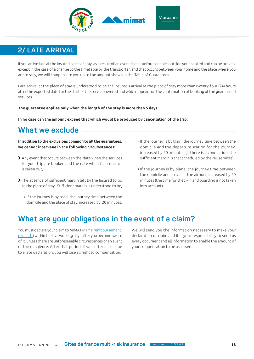

### **2/ LATE ARRIVAL**

If you arrive late at the insured place of stay, as a result of an event that is unforeseeable, outside your control and can be proven, except in the case of a change to the timetable by the transporter, and that occurs between your home and the place where you are to stay, we will compensate you up to the amount shown in the Table of Guarantees.

Late arrival at the place of stay is understood to be the Insured's arrival at the place of stay more than twenty-four (24) hours after the expected date for the start of the service covered and which appears on the confirmation of booking of the guaranteed services.

**The guarantee applies only when the length of the stay is more than 5 days.**

**In no case can the amount exceed that which would be produced by cancellation of the trip.**

### **What we exclude**

**In addition to the exclusions common to all the guarantees, we cannot intervene in the following circumstances:**

- Any event that occurs between the date when the services for your trip are booked and the date when this contract is taken out,
- The absence of sufficient margin left by the Insured to go to the place of stay. Sufficient margin is understood to be,
	- If the journey is by road, the journey time between the domicile and the place of stay, increased by 20 minutes,
- If the journey is by train, the journey time between the domicile and the departure station for the journey, increased by 20 minutes (if there is a connection, the sufficient margin is that scheduled by the rail services).
- > If the journey is by plane, the journey time between the domicile and arrival at the airport, increased by 20 minutes (the time for check-in and boarding is not taken into account).

### **What are your obligations in the event of a claim?**

You must declare your claim to MIMAT (name.remboursement. mimat.fr) within the five working days after you become aware of it, unless there are unforeseeable circumstances or an event of force majeure. After that period, if we suffer a loss due to a late declaration, you will lose all right to compensation.

We will send you the information necessary to make your declaration of claim and it is your responsibility to send us every document and all information to enable the amount of your compensation to be assessed.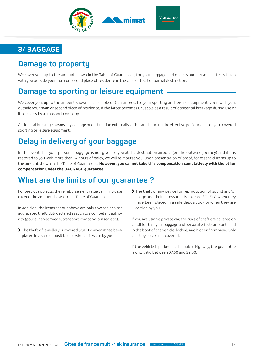

### **3/ BAGGAGE**

### **Damage to property**

We cover you, up to the amount shown in the Table of Guarantees, for your baggage and objects and personal effects taken with you outside your main or second place of residence in the case of total or partial destruction.

### **Damage to sporting or leisure equipment**

We cover you, up to the amount shown in the Table of Guarantees, for your sporting and leisure equipment taken with you, outside your main or second place of residence, if the latter becomes unusable as a result of accidental breakage during use or its delivery by a transport company.

Accidental breakage means any damage or destruction externally visible and harming the effective performance of your covered sporting or leisure equipment.

### **Delay in delivery of your baggage**

In the event that your personal baggage is not given to you at the destination airport (on the outward journey) and if it is restored to you with more than 24 hours of delay, we will reimburse you, upon presentation of proof, for essential items up to the amount shown in the Table of Guarantees. **However, you cannot take this compensation cumulatively with the other compensation under the BAGGAGE guarantee.**

### **What are the limits of our guarantee ?**

For precious objects, the reimbursement value can in no case exceed the amount shown in the Table of Guarantees.

In addition, the items set out above are only covered against aggravated theft, duly declared as such to a competent authority (police, gendarmerie, transport company, purser, etc.).

- The theft of jewellery is covered SOLELY when it has been placed in a safe deposit box or when it is worn by you.
- The theft of any device for reproduction of sound and/or image and their accessories is covered SOLELY when they have been placed in a safe deposit box or when they are carried by you.

If you are using a private car, the risks of theft are covered on condition that your baggage and personal effects are contained in the boot of the vehicle, locked, and hidden from view. Only theft by break-in is covered.

If the vehicle is parked on the public highway, the guarantee is only valid between 07.00 and 22.00.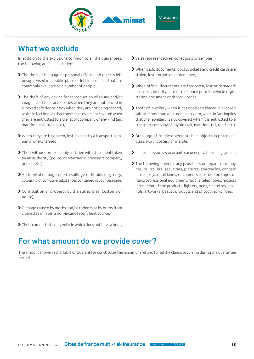

### **What we exclude**

In addition to the exclusions common to all the guarantees, the following are also excluded:

- The theft of baggage or personal effects and objects left unsupervised in a public place or left in premises that are commonly available to a number of people,
- The theft of any device for reproduction of sound and/or image and their accessories when they are not placed in a locked safe deposit box when they are not being carried, which in fact implies that those devices are not covered when they are entrusted to a transport company of any kind (air, maritime, rail, road, etc.),
- When they are forgotten, lost (except by a transport company), or exchanged,
- Theft without break-in duly certified with statement taken by an authority (police, gendarmerie, transport company, purser, etc.),
- Accidental damage due to spillage of liquids or greasy, colouring or corrosive substances contained in your baggage,
- Confiscation of property by the authorities (Customs or police),
- Damage caused by moths and/or rodents or by burns from cigarettes or from a non-incandescent heat source,
- Theft committed in any vehicle which does not have a boot,
- Sales representatives' collections or samples
- When cash, documents, books, tickets and credit cards are stolen, lost, forgotten or damaged,
- When official documents are forgotten, lost or damaged: passport, identity card or residence permit, vehicle registration document or driving licence,
- Theft of jewellery when it has not been placed in a locked safety deposit box while not being worn, which in fact implies that the jewellery is not covered when it is entrusted to a transport company of any kind (air, maritime, rail, road, etc.),
- Breakage of fragile objects such as objects in porcelain, glass, ivory, pottery or marble,
- Indirect loss such as wear and tear or deprivation of enjoyment,
- The following objects: any prosthesis or apparatus of any nature, trailers, securities, pictures, spectacles, contact lenses, keys of all kinds, documents recorded on tapes or films, professional equipment, mobile telephones, musical instruments, food products, lighters, pens, cigarettes, alcohols, artworks, beauty products and photographic films.

### **For what amount do we provide cover?**

The amount shown in the Table of Guarantees constitutes the maximum refund for all the claims occurring during the guarantee period.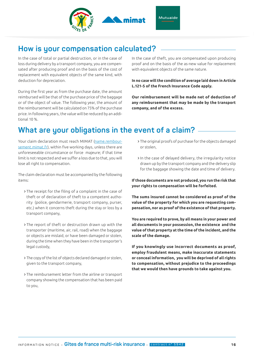

### **How is your compensation calculated?**

In the case of total or partial destruction, or in the case of loss during delivery by a transport company, you are compensated after producing proof and on the basis of the cost of replacement with equivalent objects of the same kind, with deduction for depreciation.

During the first year as from the purchase date, the amount reimbursed will be that of the purchase price of the baggage or of the object of value. The following year, the amount of the reimbursement will be calculated on 75% of the purchase price. In following years, the value will be reduced by an additional 10 %.

In the case of theft, you are compensated upon producing proof and on the basis of the as-new value for replacement with equivalent objects of the same nature.

**In no case will the condition of average laid down in Article L.121-5 of the French Insurance Code apply.**

**Our reimbursement will be made net of deduction of any reimbursement that may be made by the transport company, and of the excess.**

### **What are your obligations in the event of a claim?**

Your claim declaration must reach MIMAT (name.remboursement.mimat.fr), within five working days, unless there are unforeseeable circumstance or force majeure; if that time limit is not respected and we suffer a loss due to that, you will lose all right to compensation.

The claim declaration must be accompanied by the following items:

- The receipt for the filing of a complaint in the case of theft or of declaration of theft to a competent authority (police, gendarmerie, transport company, purser, etc.) when it concerns theft during the stay or loss by a transport company,
- The report of theft or destruction drawn up with the transporter (maritime, air, rail, road) when the baggage or objects are mislaid, or have been damaged or stolen, during the time when they have been in the transporter's legal custody,
- The copy of the list of objects declared damaged or stolen, given to the transport company,
- The reimbursement letter from the airline or transport company showing the compensation that has been paid to you,
- The original proofs of purchase for the objects damaged or stolen,
- In the case of delayed delivery, the irregularity notice drawn up by the transport company and the delivery slip for the baggage showing the date and time of delivery.

**If those documents are not produced, you run the risk that your rights to compensation will be forfeited.**

**The sums insured cannot be considered as proof of the value of the property for which you are requesting compensation, nor as proof of the existence of that property.**

**You are required to prove, by all means in your power and all documents in your possession, the existence and the value of that property at the time of the incident, and the scale of the damage.**

**If you knowingly use incorrect documents as proof, employ fraudulent means, make inaccurate statements or conceal information, you will be deprived of all rights to compensation, without prejudice to the proceedings that we would then have grounds to take against you.**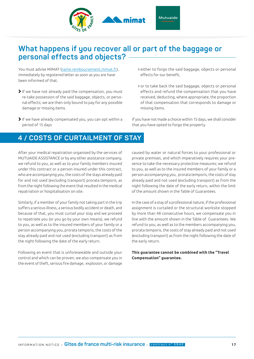

### **What happens if you recover all or part of the baggage or personal effects and objects?**

You must advise MIMAT (name.remboursement.mimat.fr), immediately by registered letter as soon as you are have been informed of that.

- If we have not already paid the compensation, you must re-take possession of the said baggage, objects, or personal effects; we are then only bound to pay for any possible damage or missing items.
- If we have already compensated you, you can opt within a period of 15 days

### **4 / COSTS OF CURTAILMENT OF STAY**

After your medical repatriation organised by the services of MUTUAIDE ASSISTANCE or by any other assistance company, we refund to you, as well as to your family members insured under this contract or a person insured under this contract, who are accompanying you, the costs of the stays already paid for and not used (excluding transport) prorata temporis, as from the night following the event that resulted in the medical repatriation or hospitalisation on site.

Similarly, if a member of your family not taking part in the trip suffers a serious illness, a serious bodily accident or death, and because of that, you must curtail your stay and we proceed to repatriate you (or you go by your own means), we refund to you, as well as to the insured members of your family or a person accompanying you, prorata temporis, the costs of the stay already paid and not used (excluding transport) as from the night following the date of the early return.

Following an event that is unforeseeable and outside your control and which can be proven, we also compensate you in the event of theft, serious fire damage, explosion, or damage

- either to forgo the said baggage, objects or personal effects for our benefit,
- or to take back the said baggage, objects or personal effects and refund the compensation that you have received, deducting, where appropriate, the proportion of that compensation that corresponds to damage or missing items.

If you have not made a choice within 15 days, we shall consider that you have opted to forgo the property.

caused by water or natural forces to your professional or private premises, and which imperatively requires your presence to take the necessary protective measures; we refund to you, as well as to the insured members of your family or a person accompanying you, prorata temporis, the costs of stay already paid and not used (excluding transport) as from the night following the date of the early return, within the limit of the amount shown in the Table of Guarantees.

In the case of a stay of a professional nature, if the professional assignment is curtailed or the structural worksite stopped by more than 48 consecutive hours, we compensate you in line with the amount shown in the Table of Guarantees. We refund to you, as well as to the members accompanying you, prorata temporis, the costs of stay already paid and not used (excluding transport) as from the night following the date of the early return.

**This guarantee cannot be combined with the "Travel Compensation" guarantee.**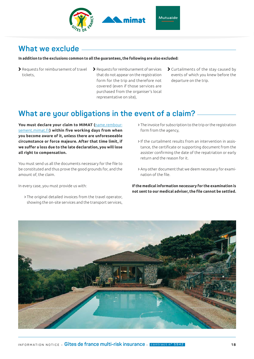

### **What we exclude**

#### **In addition to the exclusions common to all the guarantees, the following are also excluded:**

- Requests for reimbursement of travel tickets,
- > Requests for reimbursement of services that do not appear on the registration form for the trip and therefore not covered (even if those services are purchased from the organiser's local representative on site),
- Curtailments of the stay caused by events of which you knew before the departure on the trip.

### **What are your obligations in the event of a claim?**

**You must declare your claim to MIMAT (**name.remboursement.mimat.fr**) within five working days from when you become aware of it, unless there are unforeseeable circumstance or force majeure. After that time limit, if we suffer a loss due to the late declaration, you will lose all right to compensation.**

You must send us all the documents necessary for the file to be constituted and thus prove the good grounds for, and the amount of, the claim.

In every case, you must provide us with:

 The original detailed invoices from the travel operator, showing the on-site services and the transport services,

- The invoice for subscription to the trip or the registration form from the agency,
- If the curtailment results from an intervention in assistance, the certificate or supporting document from the assister confirming the date of the repatriation or early return and the reason for it.
- Any other document that we deem necessary for examination of the file.

**If the medical information necessary for the examination is not sent to our medical adviser, the file cannot be settled.**

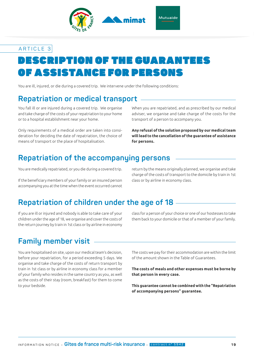

# ESCRIPTION OF THE GUARA OF ASSISTANCE FOR PERSONS ARTICLE 3

You are ill, injured, or die during a covered trip. We intervene under the following conditions:

### **Repatriation or medical transport**

You fall ill or are injured during a covered trip. We organise and take charge of the costs of your repatriation to your home or to a hospital establishment near your home.

Only requirements of a medical order are taken into consideration for deciding the date of repatriation, the choice of means of transport or the place of hospitalisation.

When you are repatriated, and as prescribed by our medical adviser, we organise and take charge of the costs for the transport of a person to accompany you.

**Any refusal of the solution proposed by our medical team will lead to the cancellation of the guarantee of assistance for persons.**

### **Repatriation of the accompanying persons**

You are medically repatriated, or you die during a covered trip.

If the beneficiary members of your family or an insured person accompanying you at the time when the event occurred cannot return by the means originally planned, we organise and take charge of the costs of transport to the domicile by train in 1st class or by airline in economy class.

### **Repatriation of children under the age of 18**

If you are ill or injured and nobody is able to take care of your children under the age of 18, we organise and cover the costs of the return journey by train in 1st class or by airline in economy

class for a person of your choice or one of our hostesses to take them back to your domicile or that of a member of your family.

### **Family member visit**

You are hospitalised on site, upon our medical team's decision, before your repatriation, for a period exceeding 5 days. We organise and take charge of the costs of return transport by train in 1st class or by airline in economy class for a member of your family who resides in the same country as you, as well as the costs of their stay (room, breakfast) for them to come to your bedside.

The costs we pay for their accommodation are within the limit of the amount shown in the Table of Guarantees.

**The costs of meals and other expenses must be borne by that person in every case.**

**This guarantee cannot be combined with the "Repatriation of accompanying persons" guarantee.**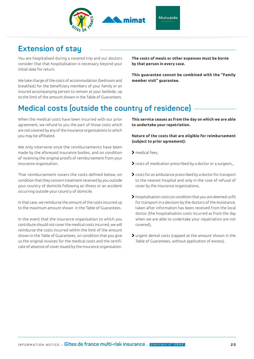

#### Mutuaide

### **Extension of stay**

You are hospitalised during a covered trip and our doctors consider that that hospitalisation is necessary beyond your initial date for return.

We take charge of the costs of accommodation (bedroom and breakfast) for the beneficiary members of your family or an insured accompanying person to remain at your bedside, up to the limit of the amount shown in the Table of Guarantees.

**The costs of meals or other expenses must be borne by that person in every case.**

**This guarantee cannot be combined with the "Family member visit" guarantee.**

### **Medical costs (outside the country of residence)**

When the medical costs have been incurred with our prior agreement, we refund to you the part of those costs which are not covered by any of the insurance organisations to which you may be affiliated.

We only intervene once the reimbursements have been made by the aforesaid insurance bodies, and on condition of receiving the original proofs of reimbursement from your insurance organisation.

That reimbursement covers the costs defined below, on condition that they concern treatment received by you outside your country of domicile following an illness or an accident occurring outside your country of domicile.

In that case, we reimburse the amount of the costs incurred up to the maximum amount shown in the Table of Guarantees.

In the event that the insurance organisation to which you contribute should not cover the medical costs incurred, we will reimburse the costs incurred within the limit of the amount shown in the Table of Guarantees, on condition that you give us the original invoices for the medical costs and the certificate of absence of cover issued by the insurance organisation.

**This service ceases as from the day on which we are able to undertake your repatriation.**

**Nature of the costs that are eligible for reimbursement (subject to prior agreement):**

- medical fees,
- costs of medication prescribed by a doctor or a surgeon,,
- costs for an ambulance prescribed by a doctor for transport to the nearest hospital and only in the case of refusal of cover by the insurance organisations,
- hospitalisation costs on condition that you are deemed unfit for transport in a decision by the doctors of the Assistance, taken after information has been received from the local doctor (the hospitalisation costs incurred as from the day when we are able to undertake your repatriation are not covered),
- urgent dental costs (capped at the amount shown in the Table of Guarantees, without application of excess).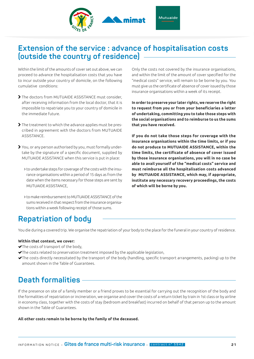

### **Extension of the service : advance of hospitalisation costs (outside the country of residence)**

Within the limit of the amounts of cover set out above, we can proceed to advance the hospitalisation costs that you have to incur outside your country of domicile, on the following cumulative conditions:

- The doctors from MUTUAIDE ASSISTANCE must consider, after receiving information from the local doctor, that it is impossible to repatriate you to your country of domicile in the immediate future.
- > The treatment to which the advance applies must be prescribed in agreement with the doctors from MUTUAIDE ASSISTANCE.
- You, or any person authorised by you, must formally undertake by the signature of a specific document, supplied by MUTUAIDE ASSISTANCE when this service is put in place:
	- to undertake steps for coverage of the costs with the insurance organisations within a period of 15 days as from the date when the items necessary for those steps are sent by MUTUAIDE ASSISTANCE,
	- to make reimbursement to MUTUAIDE ASSISTANCE of the sums received in that respect from the insurance organisations within a week following receipt of those sums.

Only the costs not covered by the insurance organisations, and within the limit of the amount of cover specified for the "medical costs" service, will remain to be borne by you. You must give us the certificate of absence of cover issued by those insurance organisations within a week of its receipt.

**In order to preserve your later rights, we reserve the right to request from you or from your beneficiaries a letter of undertaking, committing you to take those steps with the social organisations and to reimburse to us the sums that you have received.**

**If you do not take those steps for coverage with the insurance organisations within the time limits, or if you do not produce to MUTUAIDE ASSISTANCE, within the time limits, the certificate of absence of cover issued by those insurance organisations, you will in no case be able to avail yourself of the "medical costs" service and must reimburse all the hospitalisation costs advanced by MUTUAIDE ASSISTANCE, which may, if appropriate, institute any necessary recovery proceedings, the costs of which will be borne by you.**

### **Repatriation of body**

You die during a covered trip. We organise the repatriation of your body to the place for the funeral in your country of residence.

#### **Within that context, we cover:**

- The costs of transport of the body,
- The costs related to preservation treatment imposed by the applicable legislation,
- The costs directly necessitated by the transport of the body (handling, specific transport arrangements, packing) up to the amount shown in the Table of Guarantees.

### **Death formalities**

If the presence on site of a family member or a friend proves to be essential for carrying out the recognition of the body and the formalities of repatriation or incineration, we organise and cover the costs of a return ticket by train in 1st class or by airline in economy class, together with the costs of stay (bedroom and breakfast) incurred on behalf of that person up to the amount shown in the Table of Guarantees.

#### **All other costs remain to be borne by the family of the deceased.**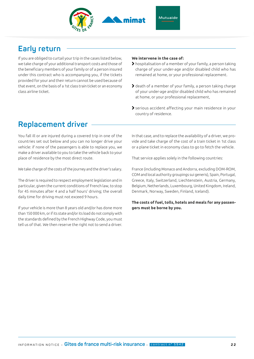

#### Mutuaide

### **Early return**

If you are obliged to curtail your trip in the cases listed below, we take charge of your additional transport costs and those of the beneficiary members of your family or of a person insured under this contract who is accompanying you, if the tickets provided for your and their return cannot be used because of that event, on the basis of a 1st class train ticket or an economy class airline ticket.

#### **We intervene in the case of:**

- hospitalisation of a member of your family, a person taking charge of your under-age and/or disabled child who has remained at home, or your professional replacement.
- death of a member of your family, a person taking charge of your under-age and/or disabled child who has remained at home, or your professional replacement,
- serious accident affecting your main residence in your country of residence.

### **Replacement driver**

You fall ill or are injured during a covered trip in one of the countries set out below and you can no longer drive your vehicle: if none of the passengers is able to replace you, we make a driver available to you to take the vehicle back to your place of residence by the most direct route.

We take charge of the costs of the journey and the driver's salary.

The driver is required to respect employment legislation and in particular, given the current conditions of French law, to stop for 45 minutes after 4 and a half hours' driving; the overall daily time for driving must not exceed 9 hours.

If your vehicle is more than 8 years old and/or has done more than 150 000 km, or if its state and/or its load do not comply with the standards defined by the French Highway Code, you must tell us of that. We then reserve the right not to send a driver. In that case, and to replace the availability of a driver, we provide and take charge of the cost of a train ticket in 1st class or a plane ticket in economy class to go to fetch the vehicle.

That service applies solely in the following countries:

France (including Monaco and Andorra, excluding DOM-ROM, COM and local authority groupings sui generis), Spain, Portugal, Greece, Italy, Switzerland, Liechtenstein, Austria, Germany, Belgium, Netherlands, Luxembourg, United Kingdom, Ireland, Denmark, Norway, Sweden, Finland, Iceland).

**The costs of fuel, tolls, hotels and meals for any passengers must be borne by you.**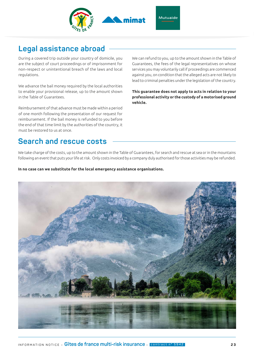

### **Legal assistance abroad**

During a covered trip outside your country of domicile, you are the subject of court proceedings or of imprisonment for non-respect or unintentional breach of the laws and local regulations.

We advance the bail money required by the local authorities to enable your provisional release, up to the amount shown in the Table of Guarantees.

Reimbursement of that advance must be made within a period of one month following the presentation of our request for reimbursement. If the bail money is refunded to you before the end of that time limit by the authorities of the country, it must be restored to us at once.

We can refund to you, up to the amount shown in the Table of Guarantees, the fees of the legal representatives on whose services you may voluntarily call if proceedings are commenced against you, on condition that the alleged acts are not likely to lead to criminal penalties under the legislation of the country.

**This guarantee does not apply to acts in relation to your professional activity or the custody of a motorised ground vehicle.**

### **Search and rescue costs**

We take charge of the costs, up to the amount shown in the Table of Guarantees, for search and rescue at sea or in the mountains following an event that puts your life at risk. Only costs invoiced by a company duly authorised for those activities may be refunded.

#### **In no case can we substitute for the local emergency assistance organisations.**

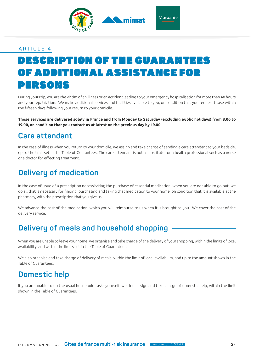

# ESCRIPTION OF THE GUARANT OF ADDITIONAL ASSISTANCE FOR PERSONS

During your trip, you are the victim of an illness or an accident leading to your emergency hospitalisation for more than 48 hours and your repatriation. We make additional services and facilities available to you, on condition that you request those within the fifteen days following your return to your domicile.

**Those services are delivered solely in France and from Monday to Saturday (excluding public holidays) from 8.00 to 19.00, on condition that you contact us at latest on the previous day by 19.00.**

### **Care attendant**

In the case of illness when you return to your domicile, we assign and take charge of sending a care attendant to your bedside, up to the limit set in the Table of Guarantees. The care attendant is not a substitute for a health professional such as a nurse or a doctor for effecting treatment.

### **Delivery of medication**

In the case of issue of a prescription necessitating the purchase of essential medication, when you are not able to go out, we do all that is necessary for finding, purchasing and taking that medication to your home, on condition that it is available at the pharmacy, with the prescription that you give us.

We advance the cost of the medication, which you will reimburse to us when it is brought to you. We cover the cost of the delivery service.

### **Delivery of meals and household shopping**

When you are unable to leave your home, we organise and take charge of the delivery of your shopping, within the limits of local availability, and within the limits set in the Table of Guarantees.

We also organise and take charge of delivery of meals, within the limit of local availability, and up to the amount shown in the Table of Guarantees.

### **Domestic help**

If you are unable to do the usual household tasks yourself, we find, assign and take charge of domestic help, within the limit shown in the Table of Guarantees.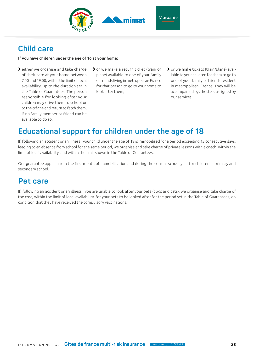

### **Child care**

#### **If you have children under the age of 16 at your home:**

- > either we organise and take charge of their care at your home between 7.00 and 19.00, within the limit of local availability, up to the duration set in the Table of Guarantees. The person responsible for looking after your children may drive them to school or to the crèche and return to fetch them, if no family member or friend can be available to do so;
- or we make a return ticket (train or plane) available to one of your family or friends living in metropolitan France for that person to go to your home to look after them;
- or we make tickets (train/plane) available to your children for them to go to one of your family or friends resident in metropolitan France. They will be accompanied by a hostess assigned by our services.

### **Educational support for children under the age of 18**

If, following an accident or an illness, your child under the age of 18 is immobilised for a period exceeding 15 consecutive days, leading to an absence from school for the same period, we organise and take charge of private lessons with a coach, within the limit of local availability, and within the limit shown in the Table of Guarantees.

Our guarantee applies from the first month of immobilisation and during the current school year for children in primary and secondary school.

### **Pet care**

If, following an accident or an illness, you are unable to look after your pets (dogs and cats), we organise and take charge of the cost, within the limit of local availability, for your pets to be looked after for the period set in the Table of Guarantees, on condition that they have received the compulsory vaccinations.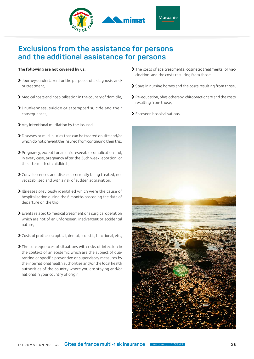

### **Exclusions from the assistance for persons and the additional assistance for persons**

#### **The following are not covered by us:**

- Journeys undertaken for the purposes of a diagnosis and/ or treatment,
- Medical costs and hospitalisation in the country of domicile,
- Drunkenness, suicide or attempted suicide and their consequences,
- Any intentional mutilation by the Insured,
- Diseases or mild injuries that can be treated on site and/or which do not prevent the Insured from continuing their trip,
- Pregnancy, except for an unforeseeable complication and, in every case, pregnancy after the 36th week, abortion, or the aftermath of childbirth,
- Convalescences and diseases currently being treated, not yet stabilised and with a risk of sudden aggravation,
- Illnesses previously identified which were the cause of hospitalisation during the 6 months preceding the date of departure on the trip,
- Events related to medical treatment or a surgical operation which are not of an unforeseen, inadvertent or accidental nature,
- Costs of protheses: optical, dental, acoustic, functional, etc.,
- The consequences of situations with risks of infection in the context of an epidemic which are the subject of quarantine or specific preventive or supervisory measures by the international health authorities and/or the local health authorities of the country where you are staying and/or national in your country of origin,
- The costs of spa treatments, cosmetic treatments, or vaccination and the costs resulting from those,
- Stays in nursing homes and the costs resulting from those,
- Re-education, physiotherapy, chiropractic care and the costs resulting from those,
- Foreseen hospitalisations.

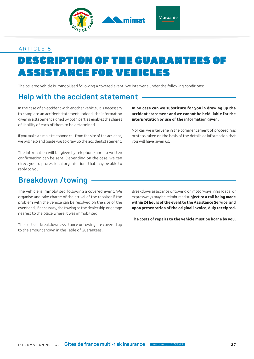

# ESCRIPTION OF THE GUARANTE ASSISTANCE FOR VEHICLES

The covered vehicle is immobilised following a covered event. We intervene under the following conditions:

### **Help with the accident statement**

In the case of an accident with another vehicle, it is necessary to complete an accident statement. Indeed, the information given in a statement signed by both parties enables the shares of liability of each of them to be determined.

If you make a simple telephone call from the site of the accident, we will help and guide you to draw up the accident statement.

The information will be given by telephone and no written confirmation can be sent. Depending on the case, we can direct you to professional organisations that may be able to reply to you.

#### **In no case can we substitute for you in drawing up the accident statement and we cannot be held liable for the interpretation or use of the information given.**

Nor can we intervene in the commencement of proceedings or steps taken on the basis of the details or information that you will have given us.

### **Breakdown /towing**

The vehicle is immobilised following a covered event. We organise and take charge of the arrival of the repairer if the problem with the vehicle can be resolved on the site of the event and, if necessary, the towing to the dealership or garage nearest to the place where it was immobilised.

The costs of breakdown assistance or towing are covered up to the amount shown in the Table of Guarantees.

Breakdown assistance or towing on motorways, ring roads, or expressways may be reimbursed **subject to a call being made within 24 hours of the event to the Assistance Service, and upon presentation of the original invoice, duly receipted.** 

**The costs of repairs to the vehicle must be borne by you.**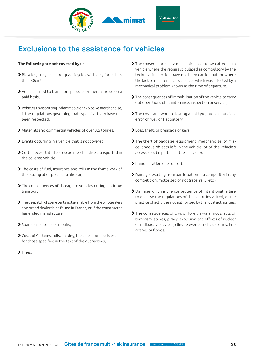

### **Exclusions to the assistance for vehicles**

#### **The following are not covered by us:**

- Bicycles, tricycles, and quadricycles with a cylinder less than 80cm3,
- Vehicles used to transport persons or merchandise on a paid basis,
- Vehicles transporting inflammable or explosive merchandise, if the regulations governing that type of activity have not been respected,
- Materials and commercial vehicles of over 3.5 tonnes,
- Events occurring in a vehicle that is not covered,
- Costs necessitated to rescue merchandise transported in the covered vehicle,
- The costs of fuel, insurance and tolls in the framework of the placing at disposal of a hire car,
- The consequences of damage to vehicles during maritime transport,
- The despatch of spare parts not available from the wholesalers and brand dealerships found in France, or if the constructor has ended manufacture,
- Spare parts, costs of repairs,
- Costs of Customs, tolls, parking, fuel, meals or hotels except for those specified in the text of the guarantees,
- $\blacktriangleright$  Fines.
- > The consequences of a mechanical breakdown affecting a vehicle where the repairs stipulated as compulsory by the technical inspection have not been carried out, or where the lack of maintenance is clear, or which was affected by a mechanical problem known at the time of departure.
- The consequences of immobilisation of the vehicle to carry out operations of maintenance, inspection or service,
- The costs and work following a flat tyre, fuel exhaustion, error of fuel, or flat battery,
- Loss, theft, or breakage of keys,
- The theft of baggage, equipment, merchandise, or miscellaneous objects left in the vehicle, or of the vehicle's accessories (in particular the car radio),
- > Immobilisation due to frost,
- Damage resulting from participation as a competitor in any competition, motorised or not (race, rally, etc.),
- Damage which is the consequence of intentional failure to observe the regulations of the countries visited, or the practice of activities not authorised by the local authorities,
- The consequences of civil or foreign wars, riots, acts of terrorism, strikes, piracy, explosion and effects of nuclear or radioactive devices, climate events such as storms, hurricanes or floods.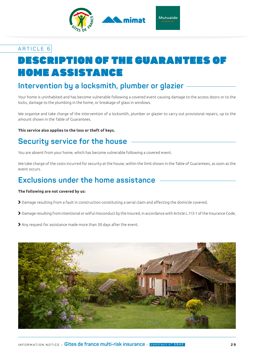

# DESCRIPTION OF THE GUARANTEES OF HOME ASSISTANCE

### **Intervention by a locksmith, plumber or glazier**

Your home is uninhabited and has become vulnerable following a covered event causing damage to the access doors or to the locks, damage to the plumbing in the home, or breakage of glass in windows.

We organise and take charge of the intervention of a locksmith, plumber or glazier to carry out provisional repairs, up to the amount shown in the Table of Guarantees.

#### **This service also applies to the loss or theft of keys.**

### **Security service for the house**

You are absent from your home, which has become vulnerable following a covered event.

We take charge of the costs incurred for security at the house, within the limit shown in the Table of Guarantees, as soon as the event occurs.

### **Exclusions under the home assistance**

#### **The following are not covered by us:**

- Damage resulting from a fault in construction constituting a serial claim and affecting the domicile covered,
- Damage resulting from intentional or wilful misconduct by the Insured, in accordance with Article L.113-1 of the Insurance Code,
- Any request for assistance made more than 30 days after the event.

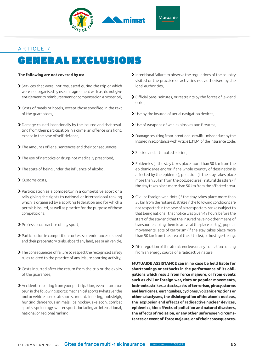

### GENERAL EXCLUSIONS ARTICLE 7

#### **The following are not covered by us:**

- Services that were not requested during the trip or which were not organised by us, or in agreement with us, do not give entitlement to reimbursement or compensation a posteriori,
- Costs of meals or hotels, except those specified in the text of the guarantees,
- Damage caused intentionally by the Insured and that resulting from their participation in a crime, an offence or a fight, except in the case of self-defence,
- The amounts of legal sentences and their consequences,
- The use of narcotics or drugs not medically prescribed,
- The state of being under the influence of alcohol,
- Customs costs,
- Participation as a competitor in a competitive sport or a rally giving the rights to national or international ranking which is organised by a sporting federation and for which a permit is issued, as well as practice for the purpose of those competitions,
- Professional practice of any sport,
- Participation in competitions or tests of endurance or speed and their preparatory trials, aboard any land, sea or air vehicle,
- The consequences of failure to respect the recognised safety rules related to the practice of any leisure sporting activity,
- Costs incurred after the return from the trip or the expiry of the guarantee,
- Accidents resulting from your participation, even as an amateur, in the following sports: mechanical sports (whatever the motor vehicle used), air sports, mountaineering, bobsleigh, hunting dangerous animals, ice hockey, skeleton, combat sports, speleology, winter sports including an international, national or regional ranking,
- Intentional failure to observe the regulations of the country visited or the practice of activities not authorised by the local authorities,
- Official bans, seizures, or restraints by the forces of law and order,
- Use by the insured of aerial navigation devices,
- Use of weapons of war, explosives and firearms,
- Damage resulting from intentional or wilful misconduct by the Insured in accordance with Article L.113-1 of the Insurance Code,
- Suicide and attempted suicide,
- Epidemics (if the stay takes place more than 50 km from the epidemic area and/or if the whole country of destination is affected by the epidemic), pollution (if the stay takes place more than 50 km from the polluted area), natural disasters (if the stay takes place more than 50 km from the affected area),
- Civil or foreign war, riots (if the stay takes place more than 50 km from the riot area), strikes if the following conditions are not respected: in the case of a transporters' strike (subject to that being national, that notice was given 48 hours before the start of the stay and that the insured have no other means of transport enabling them to arrive at the place of stay), popular movements, acts of terrorism (if the stay takes place more than 50 km from the area of the attacks), or hostage-taking,
- Disintegration of the atomic nucleus or any irradiation coming from an energy source of a radioactive nature.

**MUTUAIDE ASSISTANCE can in no case be held liable for shortcomings or setbacks in the performance of its obligations which result from force majeure, or from events such as civil or foreign war, riots or popular movements, lock-outs, strikes, attacks, acts of terrorism, piracy, storms and hurricanes, earthquakes, cyclones, volcanic eruptions or other cataclysms, the disintegration of the atomic nucleus, the explosion and effects of radioactive nuclear devices, epidemics, the effects of pollution and natural disasters, the effects of radiation, or any other unforeseen circumstances or event of force majeure, or of their consequences.**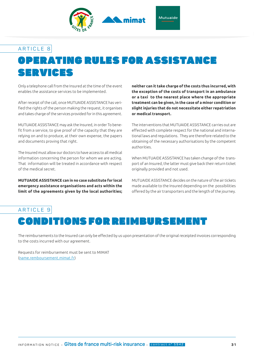

# OPERATING RULES FOR ASSISTANCE SERVICES

Only a telephone call from the Insured at the time of the event enables the assistance services to be implemented.

After receipt of the call, once MUTUAIDE ASSISTANCE has verified the rights of the person making the request, it organises and takes charge of the services provided for in this agreement.

MUTUAIDE ASSISTANCE may ask the Insured, in order To benefit from a service, to give proof of the capacity that they are relying on and to produce, at their own expense, the papers and documents proving that right.

The Insured must allow our doctors to have access to all medical information concerning the person for whom we are acting. That information will be treated in accordance with respect of the medical secret.

**MUTUAIDE ASSISTANCE can in no case substitute for local emergency assistance organisations and acts within the limit of the agreements given by the local authorities;** 

**neither can it take charge of the costs thus incurred, with the exception of the costs of transport in an ambulance or a taxi to the nearest place where the appropriate treatment can be given, in the case of a minor condition or slight injuries that do not necessitate either repatriation or medical transport.**

The interventions that MUTUAIDE ASSISTANCE carries out are effected with complete respect for the national and international laws and regulations. They are therefore related to the obtaining of the necessary authorisations by the competent authorities.

When MUTUAIDE ASSISTANCE has taken change of the transport of an Insured, the latter must give back their return ticket originally provided and not used.

MUTUAIDE ASSISTANCE decides on the nature of the air tickets made available to the Insured depending on the possibilities offered by the air transporters and the length of the journey.

### CONDITIONS FOR REIMBURSEM ARTICLE 9

The reimbursements to the Insured can only be effected by us upon presentation of the original receipted invoices corresponding to the costs incurred with our agreement.

Requests for reimbursement must be sent to MIMAT (name.remboursement.mimat.fr)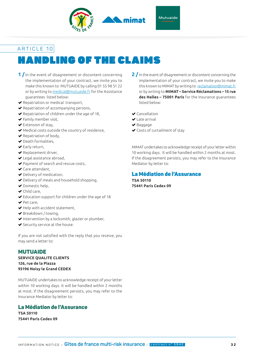

# HANDLING OF THE CLAIMS

- **1 /** In the event of disagreement or discontent concerning the implementation of your contract, we invite you to make this known to MUTUAIDE by calling 01 55 98 51 22 or by writing to medical@mutuaide.fr for the Assistance guarantees listed below:
- $\blacktriangleright$  Repatriation or medical transport,
- $\blacktriangleright$  Repatriation of accompanying persons,
- Repatriation of children under the age of 18,
- Family member visit,
- Extension of stay,
- Medical costs outside the country of residence,
- $\blacktriangleright$  Repatriation of body,
- $\blacktriangleright$  Death formalities.
- Early return,
- $\blacktriangleright$  Replacement driver,
- ◆ Legal assistance abroad,
- ◆ Payment of search and rescue costs,
- Care attendant,
- Delivery of medication,
- Delivery of meals and household shopping,
- ◆ Domestic help.
- ◆ Child care,
- Education support for children under the age of 18
- ◆ Pet care,
- $\blacktriangleright$  Help with accident statement,
- Breakdown / towing,
- $\blacktriangleright$  Intervention by a locksmith, glazier or plumber,
- $\blacktriangleright$  Security service at the house.

If you are not satisfied with the reply that you receive, you may send a letter to:

#### MUTUAIDE

**SERVICE QUALITE CLIENTS 126, rue de la Piazza 93196 Noisy le Grand CEDEX**

MUTUAIDE undertakes to acknowledge receipt of your letter within 10 working days. It will be handled within 2 months at most. If the disagreement persists, you may refer to the Insurance Mediator by letter to:

#### La Médiation de l'Assurance

**TSA 50110 75441 Paris Cedex 09**

- **2 /** In the event of disagreement or discontent concerning the implementation of your contract, we invite you to make this known to MIMAT by writing to reclamation@mimat.fr or by writing to **MIMAT – Service Réclamations – 15 rue des Halles – 75001 Paris** for the Insurance guarantees listed below:
- **◆** Cancellation
- $\blacktriangleright$  Late arrival
- ◆ Baggage
- Costs of curtailment of stay

MIMAT undertakes to acknowledge receipt of your letter within 10 working days. It will be handled within 2 months at most. If the disagreement persists, you may refer to the Insurance Mediator by letter to:

#### La Médiation de l'Assurance

**TSA 50110 75441 Paris Cedex 09**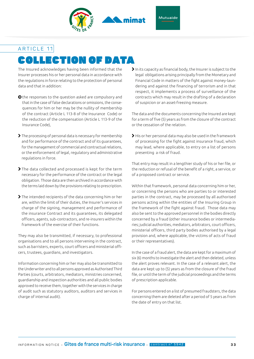

# COLLECTION OF DATA

The Insured acknowledges having been informed that the Insurer processes his or her personal data in accordance with the regulations in force relating to the protection of personal data and that in addition:

- O the responses to the question asked are compulsory and that in the case of false declarations or omissions, the consequences for him or her may be the nullity of membership of the contract (Article L 113-8 of the Insurance Code) or the reduction of the compensation (Article L 113-9 of the Insurance Code),
- The processing of personal data is necessary for membership and for performance of the contract and of its guarantees, for the management of commercial and contractual relations, or the enforcement of legal, regulatory and administrative regulations in force.
- The data collected and processed is kept for the term necessary for the performance of the contract or the legal obligation. Those data are then archived in accordance with the terms laid down by the provisions relating to prescription.
- The intended recipients of the data concerning him or her are, within the limit of their duties, the Insurer's services in charge of the signing, management and performance of the insurance Contract and its guarantees, its delegated officers, agents, sub-contractors, and re-insurers within the framework of the exercise of their functions.

They may also be transmitted, if necessary, to professional organisations and to all persons intervening in the contract, such as barristers, experts, court officers and ministerial officers, trustees, guardians, and investigators.

Information concerning him or her may also be transmitted to the Underwriter and to all persons approved as Authorised Third Parties (courts, arbitrators, mediators, ministries concerned, guardianship and inspection authorities and all public bodies approved to receive them, together with the services in charge of audit such as statutory auditors, auditors and services in charge of internal audit).

 $\blacktriangleright$  In its capacity as financial body, the Insurer is subject to the legal obligations arising principally from the Monetary and Financial Code in matters of the fight against money-laundering and against the financing of terrorism and in that respect, it implements a process of surveillance of the contracts which may result in the drafting of a declaration of suspicion or an asset-freezing measure.

The data and the documents concerning the Insured are kept for a term of five (5) years as from the closure of the contract or the cessation of the relation.

 $\blacktriangleright$  His or her personal data may also be used in the framework of processing for the fight against insurance fraud, which may lead, where applicable, to entry on a list of persons presenting a risk of fraud.

That entry may result in a lengthier study of his or her file, or the reduction or refusal of the benefit of a right, a service, or of a proposed contract or service.

Within that framework, personal data concerning him or her, or concerning the persons who are parties to or interested parties in the contract, may be processed by all authorised persons acting within the entities of the Insuring Group in the framework of the fight against fraud. Those data may also be sent to the approved personnel in the bodies directly concerned by a fraud (other insurance bodies or intermediaries; judicial authorities, mediators, arbitrators, court officers, ministerial officers, third party bodies authorised by a legal provision and, where applicable, the victims of acts of fraud or their representatives).

In the case of a fraud alert, the data are kept for a maximum of six (6) months to investigate the alert and then deleted, unless the alert proves relevant. In the case of a relevant alert, the data are kept up to (5) years as from the closure of the fraud file, or until the term of the judicial proceedings and the terms of prescription applicable.

For persons entered on a list of presumed fraudsters, the data concerning them are deleted after a period of 5 years as from the date of entry on that list.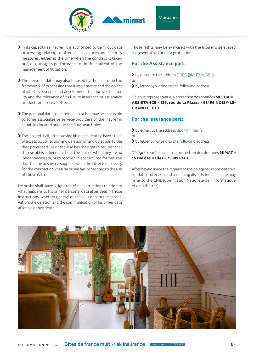

- In its capacity as Insurer, it is authorised to carry out data processing relating to offences, sentences and security measures, either at the time when the contract is taken out, or during its performance or in the context of the management of litigation.
- The personal data may also be used by the Insurer in the framework of processing that it implements and the object of which is research and development to improve the quality and the relevance of its future insurance or assistance products and service offers.
- The personal data concerning him or her may be accessible to some associates or service-providers of the Insurer in countries located outside the European Union.
- The Insured shall, after proving his or her identity, have a right of access to, correction and deletion of, and objection to the data processed. He or she also has the right to request that the use of his or her data should be limited when they are no longer necessary, or to recover, in a structured format, the data that he or she has supplied when the latter is necessary for the contract or when he or she has consented to the use of those data.

He or she shall have a right to define instructions relating to what happens to his or her personal data after death. Those instructions, whether general or special, concern the conservation, the deletion and the communication of his or her data after his or her death.

Those rights may be exercised with the Insurer's delegated representative for data protection:

#### **For the Assistance part:**

- by e-mail to the address DRPO@MUTUAIDE.fr or
- by letter by writing to the following address:

Délégué représentant à la protection des données **MUTUAIDE ASSISTANCE - 126, rue de la Piazza - 93196 NOISY-LE-GRAND CEDEX**

#### **For the Insurance part:**

- by e-mail to the address dpo@mimat.fr or
- by letter by writing to the following address:

Délégué représentant à la protection des données **MIMAT – 15 rue des Halles – 75001 Paris**

After having made the request to the delegated representative for data protection and remaining dissatisfied, he or she may refer to the CNIL (Commission Nationale de l'informatique et des Libertés).

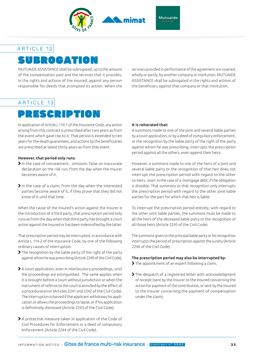

Mutuaide

#### ARTICLE 12

# SUBROGATION

MUTUAIDE ASSISTANCE shall be subrogated, up to the amount of the compensation paid and the services that it provides, in the rights and actions of the Insured, against any person responsible for deeds that prompted its action. When the services provided in performance of the agreement are covered, wholly or partly, by another company or institution, MUTUAIDE ASSISTANCE shall be subrogated in the rights and actions of the beneficiary against that company or that institution.

#### ARTICLE 13

# PRESCRIPTION

In application of Article L 114-1 of the Insurance Code, any action arising from this contract is prescribed after two years as from the event which gave rise to it. That period is extended to ten years for the death guarantees, and actions by the beneficiaries are prescribed at latest thirty years as from that event.

#### **However, that period only runs:**

- In the case of concealment, omission, false on inaccurate declaration on the risk run, from the day when the Insurer becomes aware of it,
- In the case of a claim, from the day when the interested parties become aware of it, if they prove that they did not know of it until that time.

When the cause of the Insured's action against the Insurer is the introduction of a third party, that prescription period only runs as from the day when that third party has brought a court action against the Insured or has been indemnified by the latter.

That prescription period may be interrupted, in accordance with Article L 114-2 of the Insurance Code, by one of the following ordinary causes of interruption:

- The recognition by the liable party of the right of the party against whom he was prescribing (Article 2240 of the Civil Code),
- A court application, even in interlocutory proceedings, until the proceedings are extinguished. The same applies when it is brought before a court without jurisdiction or when the instrument of referral to the court is annulled by the effect of a procedural error (Articles 2241 and 2242 of the Civil Code). The interruption is barred if the applicant withdraws his application or allows the proceedings to lapse, or if his application is definitively dismissed (Article 2243 of the Civil Code),
- A protective measure taken in application of the Code of Civil Procedures for Enforcement or a deed of compulsory enforcement (Article 2244 of the Civil Code).

#### **It is reiterated that:**

A summons made to one of the joint and several liable parties by a court application, or by a deed of compulsory enforcement, or the recognition by the liable party of the right of the party against whom he was prescribing, interrupts the prescription period against all the others, even against their heirs.

However, a summons made to one of the heirs of a joint and several liable party or the recognition of that heir does not interrupt the prescription period with regard to the other co-heirs, even in the case of a mortgage debt, if the obligation is divisible. That summons or that recognition only interrupts the prescription period with regard to the other joint liable parties for the part for which that heir is liable.

To interrupt the prescription period entirely, with regard to the other joint liable parties, the summons must be made to all the heirs of the deceased liable party or the recognition of all those heirs (Article 2245 of the Civil Code).

The summons given to the principal liable party or his recognition interrupts the period of prescription against the surety (Article 2246 of the Civil Code).

#### **The prescription period may also be interrupted by:**

- The appointment of an expert following a claim,
- > The despatch of a registered letter with acknowledgment of receipt (sent by the Insurer to the Insured concerning the action for payment of the contribution, or sent by the Insured to the Insurer concerning the payment of compensation under the claim).